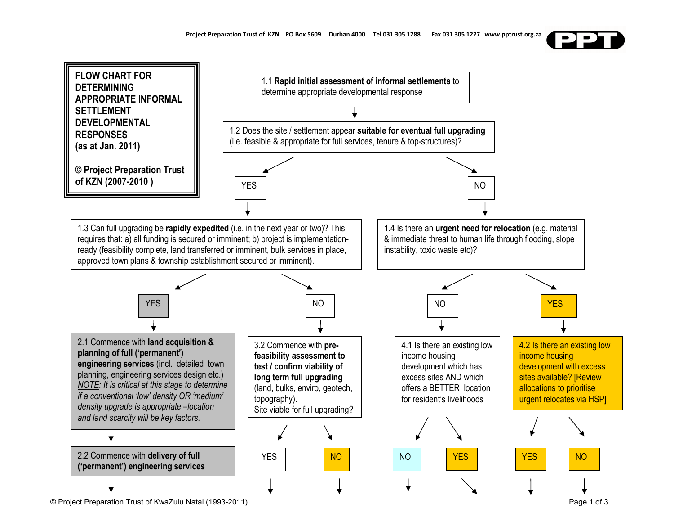

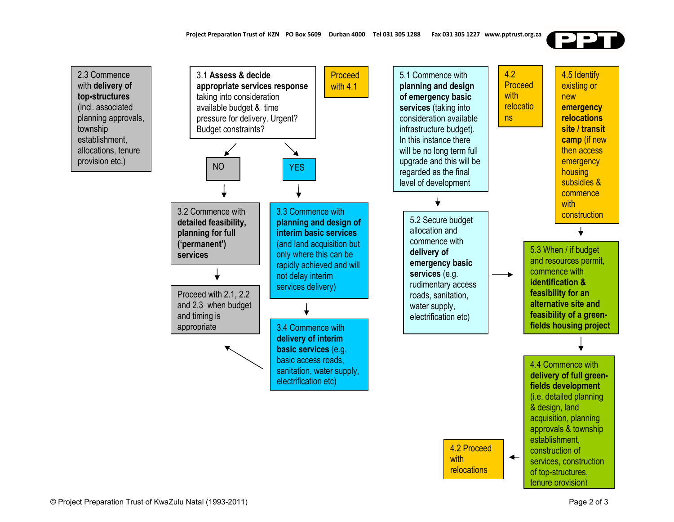